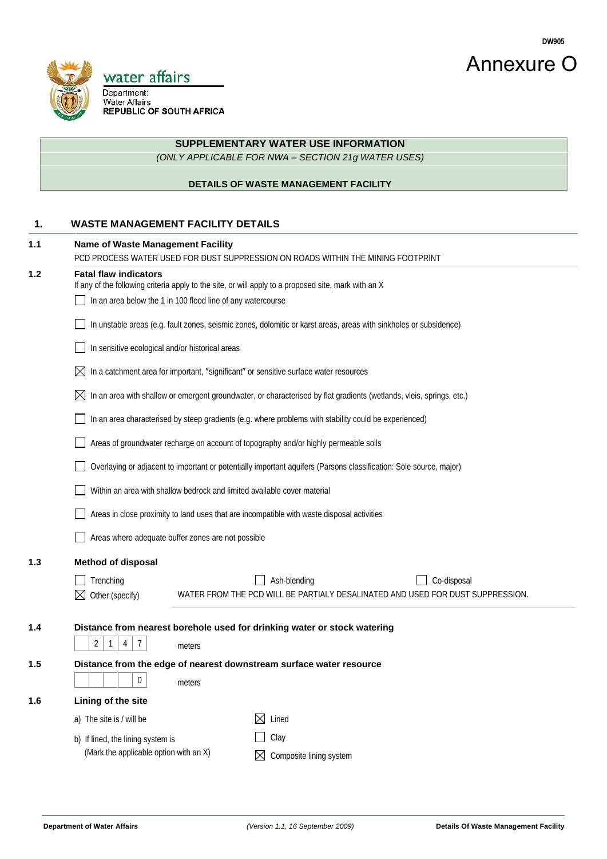



## **SUPPLEMENTARY WATER USE INFORMATION**

*(ONLY APPLICABLE FOR NWA – SECTION 21g WATER USES)*

#### **DETAILS OF WASTE MANAGEMENT FACILITY**

### **1. WASTE MANAGEMENT FACILITY DETAILS**

| 1.1 | <b>Name of Waste Management Facility</b>                                                                                                                                                            |        | PCD PROCESS WATER USED FOR DUST SUPPRESSION ON ROADS WITHIN THE MINING FOOTPRINT                                     |             |  |  |
|-----|-----------------------------------------------------------------------------------------------------------------------------------------------------------------------------------------------------|--------|----------------------------------------------------------------------------------------------------------------------|-------------|--|--|
| 1.2 | <b>Fatal flaw indicators</b><br>If any of the following criteria apply to the site, or will apply to a proposed site, mark with an X<br>In an area below the 1 in 100 flood line of any watercourse |        |                                                                                                                      |             |  |  |
|     | In unstable areas (e.g. fault zones, seismic zones, dolomitic or karst areas, areas with sinkholes or subsidence)                                                                                   |        |                                                                                                                      |             |  |  |
|     | In sensitive ecological and/or historical areas                                                                                                                                                     |        |                                                                                                                      |             |  |  |
|     | $\boxtimes$                                                                                                                                                                                         |        | In a catchment area for important, significant or sensitive surface water resources                                  |             |  |  |
|     | $\boxtimes$                                                                                                                                                                                         |        | In an area with shallow or emergent groundwater, or characterised by flat gradients (wetlands, vleis, springs, etc.) |             |  |  |
|     |                                                                                                                                                                                                     |        | In an area characterised by steep gradients (e.g. where problems with stability could be experienced)                |             |  |  |
|     |                                                                                                                                                                                                     |        | Areas of groundwater recharge on account of topography and/or highly permeable soils                                 |             |  |  |
|     |                                                                                                                                                                                                     |        | Overlaying or adjacent to important or potentially important aquifers (Parsons classification: Sole source, major)   |             |  |  |
|     | Within an area with shallow bedrock and limited available cover material                                                                                                                            |        |                                                                                                                      |             |  |  |
|     | Areas in close proximity to land uses that are incompatible with waste disposal activities                                                                                                          |        |                                                                                                                      |             |  |  |
|     | Areas where adequate buffer zones are not possible                                                                                                                                                  |        |                                                                                                                      |             |  |  |
| 1.3 | <b>Method of disposal</b>                                                                                                                                                                           |        |                                                                                                                      |             |  |  |
|     | Trenching                                                                                                                                                                                           |        | Ash-blending                                                                                                         | Co-disposal |  |  |
|     | Other (specify)<br>⊠                                                                                                                                                                                |        | WATER FROM THE PCD WILL BE PARTIALY DESALINATED AND USED FOR DUST SUPPRESSION.                                       |             |  |  |
| 1.4 |                                                                                                                                                                                                     |        | Distance from nearest borehole used for drinking water or stock watering                                             |             |  |  |
|     | $\overline{2}$<br>$\overline{7}$<br>$\mathbf{1}$<br>4                                                                                                                                               | meters |                                                                                                                      |             |  |  |
| 1.5 | Distance from the edge of nearest downstream surface water resource<br>0<br>meters                                                                                                                  |        |                                                                                                                      |             |  |  |
| 1.6 | Lining of the site                                                                                                                                                                                  |        |                                                                                                                      |             |  |  |
|     | a) The site is / will be                                                                                                                                                                            |        | Lined<br>⊠                                                                                                           |             |  |  |
|     | b) If lined, the lining system is                                                                                                                                                                   |        | Clay                                                                                                                 |             |  |  |
|     | (Mark the applicable option with an X)                                                                                                                                                              |        | Composite lining system                                                                                              |             |  |  |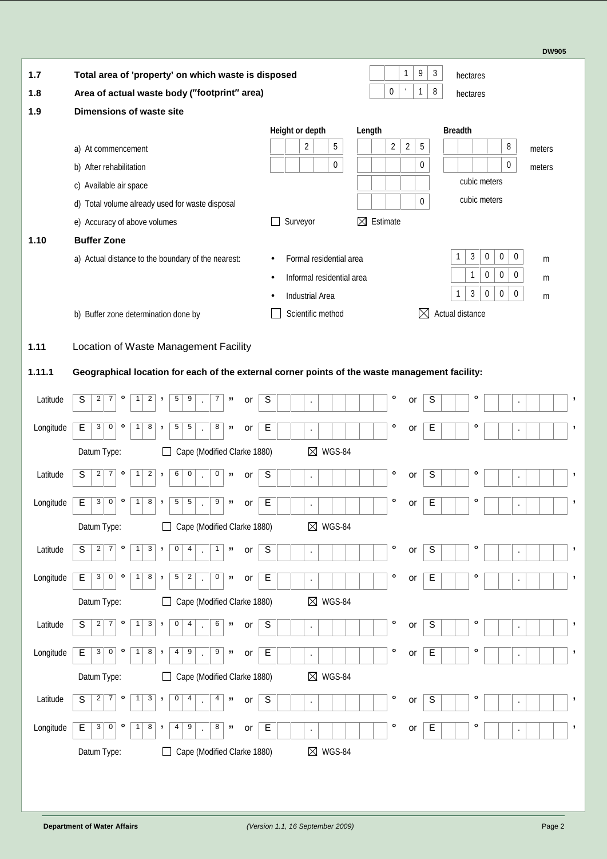**DW905**

| 1.7       | Total area of property' on which waste is disposed                   |                                                                                                | 9<br>1<br>3<br>hectares               |                                       |                                    |  |  |
|-----------|----------------------------------------------------------------------|------------------------------------------------------------------------------------------------|---------------------------------------|---------------------------------------|------------------------------------|--|--|
| 1.8       | Area of actual waste body ( footprint area)                          |                                                                                                |                                       | 0<br>$\epsilon$<br>8<br>1             | hectares                           |  |  |
| 1.9       | Dimensions of waste site                                             |                                                                                                |                                       |                                       |                                    |  |  |
|           |                                                                      |                                                                                                | Height or depth                       | Length                                | <b>Breadth</b>                     |  |  |
|           | a) At commencement                                                   |                                                                                                | $\overline{\mathbf{c}}$<br>$\sqrt{5}$ | $\overline{2}$<br>$\overline{2}$<br>5 | 8<br>meters                        |  |  |
|           | b) After rehabilitation                                              |                                                                                                | $\mathbf 0$                           | 0                                     | 0<br>meters                        |  |  |
|           | c) Available air space                                               |                                                                                                |                                       |                                       | cubic meters                       |  |  |
|           | d) Total volume already used for waste disposal                      |                                                                                                |                                       | $\pmb{0}$                             | cubic meters                       |  |  |
|           | e) Accuracy of above volumes                                         |                                                                                                | Surveyor                              | Estimate<br>$\boxtimes$               |                                    |  |  |
| 1.10      | <b>Buffer Zone</b>                                                   |                                                                                                |                                       |                                       |                                    |  |  |
|           |                                                                      | a) Actual distance to the boundary of the nearest:                                             | Formal residential area               |                                       | 3<br>$\pmb{0}$<br>0<br>0<br>1<br>m |  |  |
|           |                                                                      |                                                                                                | Informal residential area             |                                       | $\pmb{0}$<br>1<br>0<br>0<br>m      |  |  |
|           |                                                                      |                                                                                                | <b>Industrial Area</b>                |                                       | 3<br>1<br>0<br>0<br>0<br>m         |  |  |
|           | b) Buffer zone determination done by                                 |                                                                                                | Scientific method                     | $\boxtimes$                           | Actual distance                    |  |  |
|           |                                                                      |                                                                                                |                                       |                                       |                                    |  |  |
| 1.11      |                                                                      | Location of Waste Management Facility                                                          |                                       |                                       |                                    |  |  |
| 1.11.1    |                                                                      | Geographical location for each of the external corner points of the waste management facility: |                                       |                                       |                                    |  |  |
| Latitude  | S<br>$\overline{2}$<br>$\overline{7}$<br>2<br>$\circ$<br>1           | 5<br>9<br>$\overline{7}$<br>,<br>,,<br>or                                                      | S<br>$\cdot$                          | $\circ$<br>S<br>or                    | $\circ$<br>,<br>$\cdot$            |  |  |
| Longitude | E<br>$3 \mid$<br>0<br>8<br>$\circ$<br>1                              | 5<br>8<br>5<br>,,<br>,<br>or<br>$\cdot$                                                        | E<br>$\blacksquare$                   | $\mathsf E$<br>$\circ$<br>or          | $\circ$<br>,<br>$\cdot$            |  |  |
|           | Datum Type:                                                          | Cape (Modified Clarke 1880)<br>$\Box$                                                          | $\boxtimes$<br><b>WGS-84</b>          |                                       |                                    |  |  |
| Latitude  | 2 <br>$\overline{7}$<br>$\overline{\mathbf{c}}$<br>S<br>$\circ$<br>1 | 6<br>$\pmb{0}$<br>$\mathbf 0$<br>,<br>,,<br>or                                                 | S<br>$\cdot$                          | $\circ$<br>S<br>or                    | $\circ$<br>,<br>$\cdot$            |  |  |
| Longitude | 0<br>8<br>3<br>Е<br>$\circ$                                          | 5<br>5<br>9<br>,,<br>,<br>or                                                                   | E<br>$\cdot$                          | E<br>$\circ$<br>or                    | $\circ$<br>,<br>$\cdot$            |  |  |
|           | Datum Type:                                                          | Cape (Modified Clarke 1880)<br>$\Box$                                                          | $\boxtimes$ WGS-84                    |                                       |                                    |  |  |
| Latitude  | $\overline{2}$<br>7<br>3<br>S<br>$\circ$<br>$\mathbf{1}$             | $\overline{0}$<br>$\overline{4}$<br>$\mathbf{1}$<br>,<br>,,<br>or<br>÷,                        | $\mathsf S$<br>$\blacksquare$         | $\circ$<br>S<br>or                    | $\circ$<br>$\,$<br>$\blacksquare$  |  |  |
| Longitude | $\mathsf E$<br>$3\vert$<br>0<br>$\circ$<br>8                         | 5<br>2<br>$\mathbf{0}$<br>,,<br>or<br>,                                                        | $\mathsf E$<br>$\cdot$                | E<br>$\circ$<br>or                    | o<br>J<br>$\blacksquare$           |  |  |
|           | Datum Type:                                                          | Cape (Modified Clarke 1880)<br>$\Box$                                                          | $\boxtimes$ WGS-84                    |                                       |                                    |  |  |
| Latitude  | S<br>7<br>3<br>2<br>1<br>$\circ$                                     | $\mathbf 0$<br>6<br>4<br>,<br>,,<br>or<br>l,                                                   | S<br>$\cdot$                          | $\circ$<br>S<br>or                    | $\circ$<br>,<br>$\cdot$            |  |  |
| Longitude | 0<br>$\mathsf E$<br>3<br>8<br>$\circ$<br>1                           | 9<br>4<br>9<br>$\pmb{\mathfrak{y}}$<br>,<br>or                                                 | E<br>$\bullet$                        | $\circ$<br>E<br>or                    | $\circ$<br>J<br>$\cdot$            |  |  |
|           |                                                                      |                                                                                                |                                       |                                       |                                    |  |  |
|           | Datum Type:                                                          | Cape (Modified Clarke 1880)<br>$\Box$                                                          | $\boxtimes$ WGS-84                    |                                       |                                    |  |  |
| Latitude  | 3<br>S<br>2 <br>7<br>$\circ$<br>1                                    | 0<br>$\overline{4}$<br>4<br>,<br>,,<br>or<br>$\cdot$                                           | S<br>$\blacksquare$                   | $\circ$<br>S<br>or                    | $\circ$<br>,<br>٠                  |  |  |
| Longitude | 0<br>8<br>E<br>$3 \mid$<br>$\circ$<br>1                              | 8<br>4<br>9<br>"<br>,<br>or<br>$\cdot$                                                         | Е<br>$\bullet$                        | $\circ$<br>E<br>or                    | $\circ$<br>,<br>$\bullet$          |  |  |
|           | Datum Type:                                                          | Cape (Modified Clarke 1880)                                                                    | $\boxtimes$ WGS-84                    |                                       |                                    |  |  |
|           |                                                                      |                                                                                                |                                       |                                       |                                    |  |  |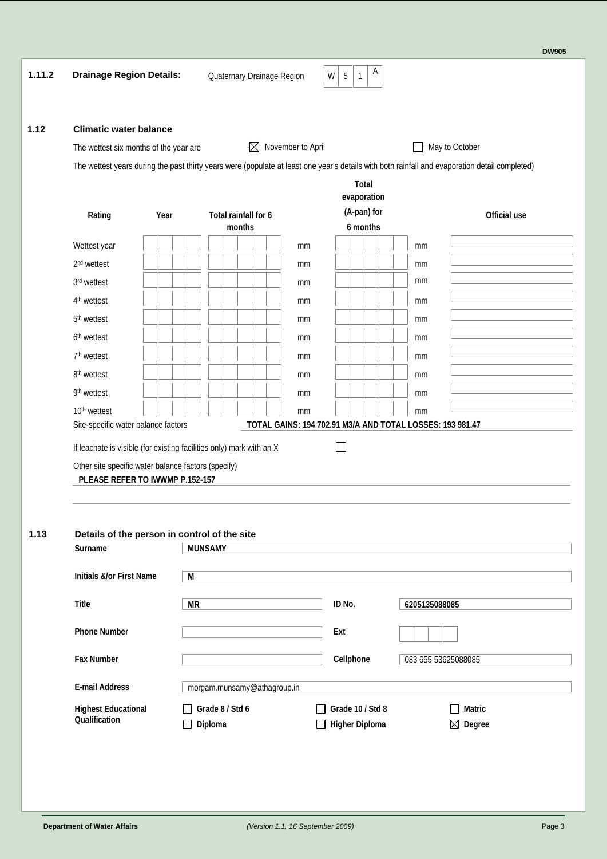| <b>Climatic water balance</b>                  |                                                                                        |                                                                                                                                                |               |                             |                                                                 |                |
|------------------------------------------------|----------------------------------------------------------------------------------------|------------------------------------------------------------------------------------------------------------------------------------------------|---------------|-----------------------------|-----------------------------------------------------------------|----------------|
|                                                | The wettest six months of the year are                                                 | $\boxtimes$ November to April                                                                                                                  |               |                             |                                                                 | May to October |
|                                                |                                                                                        | The wettest years during the past thirty years were (populate at least one year's details with both rainfall and evaporation detail completed) |               |                             |                                                                 |                |
|                                                |                                                                                        |                                                                                                                                                |               | <b>Total</b><br>evaporation |                                                                 |                |
| Rating                                         | Year                                                                                   | Total rainfall for 6                                                                                                                           |               | (A-pan) for                 |                                                                 | Official use   |
|                                                |                                                                                        | months                                                                                                                                         |               | 6 months                    |                                                                 |                |
| Wettest year                                   |                                                                                        |                                                                                                                                                | <sub>mm</sub> |                             | mm                                                              |                |
| 2 <sup>nd</sup> wettest                        |                                                                                        |                                                                                                                                                | mm            |                             | mm                                                              |                |
| 3rd wettest                                    |                                                                                        |                                                                                                                                                | mm            |                             | mm                                                              |                |
| 4 <sup>th</sup> wettest                        |                                                                                        |                                                                                                                                                | mm            |                             | mm                                                              |                |
| 5 <sup>th</sup> wettest                        |                                                                                        |                                                                                                                                                | mm            |                             | mm                                                              |                |
| 6 <sup>th</sup> wettest                        |                                                                                        |                                                                                                                                                | mm            |                             | mm                                                              |                |
| 7 <sup>th</sup> wettest                        |                                                                                        |                                                                                                                                                | mm            |                             | mm                                                              |                |
| 8 <sup>th</sup> wettest                        |                                                                                        |                                                                                                                                                | mm            |                             | mm                                                              |                |
|                                                |                                                                                        |                                                                                                                                                |               |                             |                                                                 |                |
| 9th wettest                                    |                                                                                        |                                                                                                                                                | mm            |                             | mm                                                              |                |
|                                                |                                                                                        |                                                                                                                                                |               |                             |                                                                 |                |
| 10 <sup>th</sup> wettest                       | Site-specific water balance factors                                                    | If leachate is visible (for existing facilities only) mark with an X                                                                           | mm            |                             | mm<br>TOTAL GAINS: 194 702.91 M3/A AND TOTAL LOSSES: 193 981.47 |                |
| Surname<br><b>Initials &amp;/or First Name</b> | Other site specific water balance factors (specify)<br>PLEASE REFER TO IWWWP P.152-157 | Details of the person in control of the site<br><b>MUNSAMY</b><br>M                                                                            |               |                             |                                                                 |                |
| <b>Title</b>                                   |                                                                                        | <b>MR</b>                                                                                                                                      |               | IDNo.                       | 6205135088085                                                   |                |
|                                                |                                                                                        |                                                                                                                                                |               |                             |                                                                 |                |
| <b>Phone Number</b>                            |                                                                                        |                                                                                                                                                |               | Ext                         |                                                                 |                |
| <b>Fax Number</b>                              |                                                                                        |                                                                                                                                                |               | Cellphone                   | 083 655 53625088085                                             |                |
| <b>E-mail Address</b>                          |                                                                                        | morgam.munsamy@athagroup.in                                                                                                                    |               |                             |                                                                 |                |
| <b>Highest Educational</b><br>Qualification    |                                                                                        | Grade 8 / Std 6                                                                                                                                |               | Grade 10 / Std 8            |                                                                 | <b>Matric</b>  |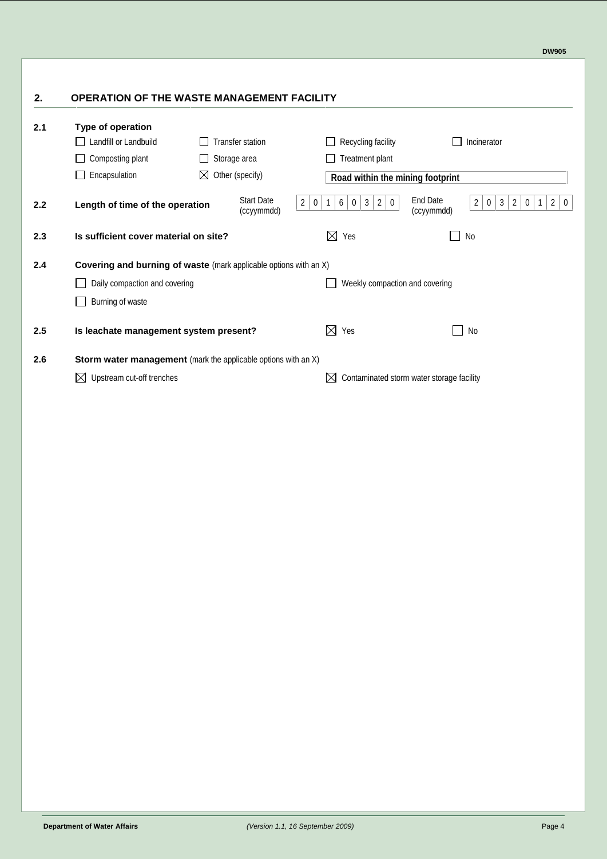# **2. OPERATION OF THE WASTE MANAGEMENT FACILITY**

| 2.1              | Type of operation<br>Landfill or Landbuild<br>Composting plant<br>Encapsulation | <b>Transfer station</b><br>Storage area<br>$\boxtimes$ Other (specify) | Recyding facility<br><b>Treatment plant</b><br>Road within the mining footprint                                   | Incinerator                                                                                                                                                 |
|------------------|---------------------------------------------------------------------------------|------------------------------------------------------------------------|-------------------------------------------------------------------------------------------------------------------|-------------------------------------------------------------------------------------------------------------------------------------------------------------|
| 2.2 <sub>2</sub> | Length of time of the operation                                                 | <b>Start Date</b><br>(ccyymmdd)                                        | $2\vert$<br>$6 \mid$<br>$\mathbf{3}$<br>$\mathbf{1}$<br>$\mathbf 0$<br>$\vert$ 2<br>$\overline{0}$<br>$\mathbf 0$ | <b>End Date</b><br>$\overline{2}$<br>3<br>$\overline{2}$<br>2 <sup>1</sup><br>$\overline{0}$<br>$\overline{0}$<br>$\mathbf{1}$<br>$\mathbf 0$<br>(ccyymmdd) |
| 2.3              | Is sufficient cover material on site?                                           |                                                                        | $\boxtimes$<br>Yes                                                                                                | No                                                                                                                                                          |
| 2.4              | Covering and burning of waste (mark applicable options with an $X$ )            |                                                                        |                                                                                                                   |                                                                                                                                                             |
|                  | Daily compaction and covering                                                   |                                                                        | Weekly compaction and covering                                                                                    |                                                                                                                                                             |
|                  | Burning of waste                                                                |                                                                        |                                                                                                                   |                                                                                                                                                             |
| 2.5              | Is leachate management system present?                                          |                                                                        | $\boxtimes$ Yes                                                                                                   | No                                                                                                                                                          |
| 2.6              | Storm water management (mark the applicable options with an $X$ )               |                                                                        |                                                                                                                   |                                                                                                                                                             |
|                  | Upstream cut-off trenches                                                       |                                                                        | IХ                                                                                                                | Contaminated storm water storage facility                                                                                                                   |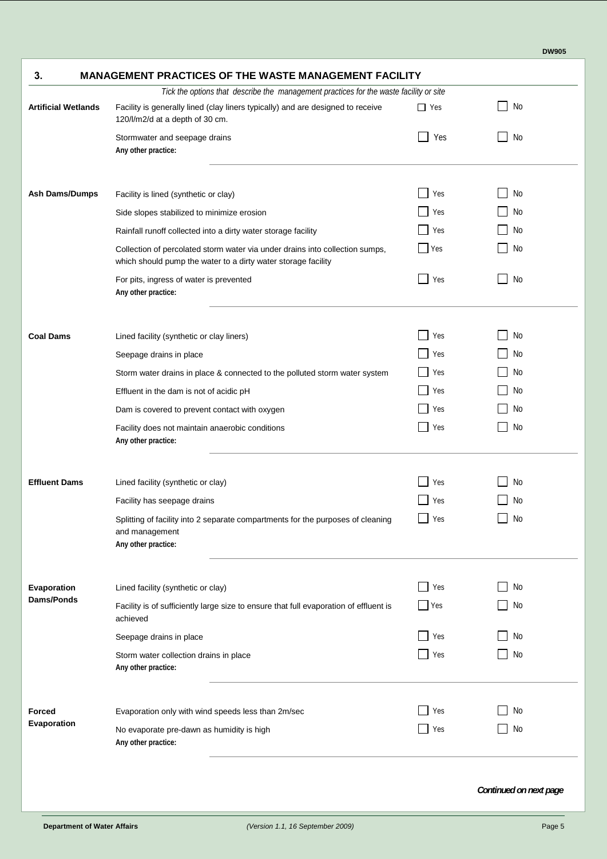| <b>MANAGEMENT PRACTICES OF THE WASTE MANAGEMENT FACILITY</b><br>3.                                                                            |            |     |  |  |  |
|-----------------------------------------------------------------------------------------------------------------------------------------------|------------|-----|--|--|--|
| Tick the options that describe the management practices for the waste facility or site                                                        |            |     |  |  |  |
| Facility is generally lined (clay liners typically) and are designed to receive<br>120/l/m2/d at a depth of 30 cm.                            | $\Box$ Yes | No  |  |  |  |
| Stormwater and seepage drains                                                                                                                 | Yes        | No  |  |  |  |
| Facility is lined (synthetic or clay)                                                                                                         | Yes        | No  |  |  |  |
| Side slopes stabilized to minimize erosion                                                                                                    | Yes        | No  |  |  |  |
| Rainfall runoff collected into a dirty water storage facility                                                                                 | Yes        | No  |  |  |  |
| Collection of percolated storm water via under drains into collection sumps,<br>which should pump the water to a dirty water storage facility | Yes        | No  |  |  |  |
| For pits, ingress of water is prevented                                                                                                       | Yes        | No  |  |  |  |
| Lined facility (synthetic or clay liners)                                                                                                     | Yes        | No  |  |  |  |
| Seepage drains in place                                                                                                                       | Yes        | No. |  |  |  |
| Storm water drains in place & connected to the polluted storm water system                                                                    | Yes        | No  |  |  |  |
| Effluent in the dam is not of acidic pH                                                                                                       | Yes        | No  |  |  |  |
| Dam is covered to prevent contact with oxygen                                                                                                 | Yes        | No  |  |  |  |
| Facility does not maintain anaerobic conditions                                                                                               | Yes        | No  |  |  |  |
| Lined facility (synthetic or clay)                                                                                                            | Yes        | No  |  |  |  |
| Facility has seepage drains                                                                                                                   | Yes        | No. |  |  |  |
| Splitting of facility into 2 separate compartments for the purposes of cleaning                                                               | Yes        | No  |  |  |  |
| Lined facility (synthetic or clay)                                                                                                            | Yes        | No  |  |  |  |
| Facility is of sufficiently large size to ensure that full evaporation of effluent is                                                         | Yes        | No  |  |  |  |
| Seepage drains in place                                                                                                                       | Yes        | No  |  |  |  |
| Storm water collection drains in place                                                                                                        | Yes        | No  |  |  |  |
| Evaporation only with wind speeds less than 2m/sec                                                                                            | Yes        | No  |  |  |  |
| No evaporate pre-dawn as humidity is high                                                                                                     | Yes        | No  |  |  |  |
|                                                                                                                                               |            |     |  |  |  |

*Continued on next page*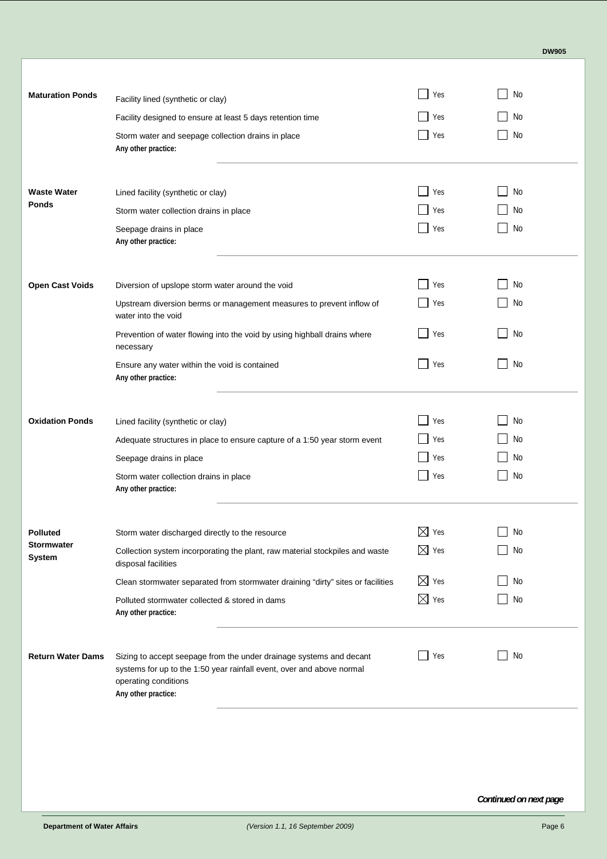|--|

| <b>Maturation Ponds</b>            | Facility lined (synthetic or clay)                                                                                                                                                          | Yes                | No                   |
|------------------------------------|---------------------------------------------------------------------------------------------------------------------------------------------------------------------------------------------|--------------------|----------------------|
|                                    | Facility designed to ensure at least 5 days retention time                                                                                                                                  | Yes                | No                   |
|                                    | Storm water and seepage collection drains in place<br>Any other practice:                                                                                                                   | Yes                | No                   |
| <b>Waste Water</b><br>Ponds        | Lined facility (synthetic or clay)<br>Storm water collection drains in place                                                                                                                | Yes<br>Yes         | No<br>No<br>No       |
|                                    | Seepage drains in place<br>Any other practice:                                                                                                                                              | Yes                |                      |
|                                    |                                                                                                                                                                                             |                    |                      |
| <b>Open Cast Voids</b>             | Diversion of upslope storm water around the void                                                                                                                                            | Yes                | No                   |
|                                    | Upstream diversion berms or management measures to prevent inflow of<br>water into the void                                                                                                 | Yes                | No                   |
|                                    | Prevention of water flowing into the void by using highball drains where<br>necessary                                                                                                       | Yes                | No                   |
|                                    | Ensure any water within the void is contained<br>Any other practice:                                                                                                                        | Yes                | No                   |
| <b>Oxidation Ponds</b>             | Lined facility (synthetic or clay)                                                                                                                                                          | Yes                | No                   |
|                                    | Adequate structures in place to ensure capture of a 1:50 year storm event                                                                                                                   | Yes                | No                   |
|                                    | Seepage drains in place                                                                                                                                                                     | Yes                | No                   |
|                                    | Storm water collection drains in place<br>Any other practice:                                                                                                                               | Yes                | No.                  |
| <b>Polluted</b>                    | Storm water discharged directly to the resource                                                                                                                                             | $\boxtimes$<br>Yes | No                   |
| <b>Stormwater</b><br><b>System</b> | Collection system incorporating the plant, raw material stockpiles and waste<br>disposal facilities                                                                                         | $\boxtimes$ Yes    | No                   |
|                                    | Clean stormwater separated from stormwater draining "dirty" sites or facilities                                                                                                             | $\boxtimes$ Yes    | No                   |
|                                    | Polluted stormwater collected & stored in dams<br>Any other practice:                                                                                                                       | $\boxtimes$ Yes    | No                   |
| <b>Return Water Dams</b>           | Sizing to accept seepage from the under drainage systems and decant<br>systems for up to the 1:50 year rainfall event, over and above normal<br>operating conditions<br>Any other practice: | Yes                | No<br>$\blacksquare$ |
|                                    |                                                                                                                                                                                             |                    |                      |
|                                    |                                                                                                                                                                                             |                    |                      |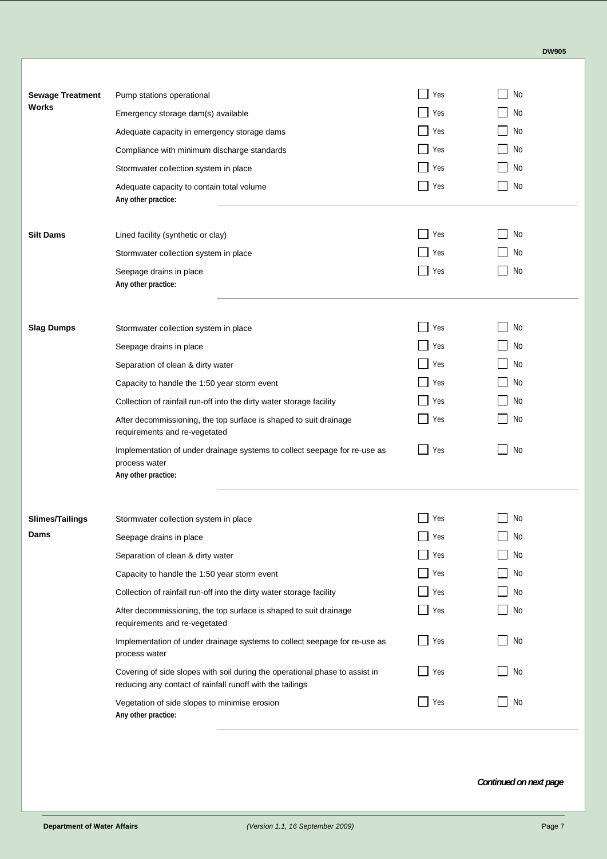|--|

| <b>Sewage Treatment</b><br>Works | Pump stations operational                                                                                                                | Yes | No                   |
|----------------------------------|------------------------------------------------------------------------------------------------------------------------------------------|-----|----------------------|
|                                  | Emergency storage dam(s) available                                                                                                       | Yes | No                   |
|                                  | Adequate capacity in emergency storage dams                                                                                              | Yes | No                   |
|                                  | Compliance with minimum discharge standards                                                                                              | Yes | No                   |
|                                  | Stormwater collection system in place                                                                                                    | Yes | No                   |
|                                  | Adequate capacity to contain total volume<br>Any other practice:                                                                         | Yes | No                   |
| <b>Silt Dams</b>                 | Lined facility (synthetic or clay)                                                                                                       | Yes | No                   |
|                                  | Stormwater collection system in place                                                                                                    | Yes | No                   |
|                                  | Seepage drains in place<br>Any other practice:                                                                                           | Yes | No                   |
| <b>Slag Dumps</b>                | Stormwater collection system in place                                                                                                    | Yes | No                   |
|                                  | Seepage drains in place                                                                                                                  | Yes | No                   |
|                                  | Separation of clean & dirty water                                                                                                        | Yes | No                   |
|                                  | Capacity to handle the 1:50 year storm event                                                                                             | Yes | No                   |
|                                  | Collection of rainfall run-off into the dirty water storage facility                                                                     | Yes | No                   |
|                                  | After decommissioning, the top surface is shaped to suit drainage<br>requirements and re-vegetated                                       | Yes | No                   |
|                                  | Implementation of under drainage systems to collect seepage for re-use as<br>process water<br>Any other practice:                        | Yes | No                   |
| <b>Slimes/Tailings</b>           | Stormwater collection system in place                                                                                                    | Yes | No                   |
| Dams                             | Seepage drains in place                                                                                                                  | Yes | No                   |
|                                  | Separation of clean & dirty water                                                                                                        | Yes | No                   |
|                                  | Capacity to handle the 1:50 year storm event                                                                                             | Yes | No                   |
|                                  | Collection of rainfall run-off into the dirty water storage facility                                                                     | Yes | No                   |
|                                  | After decommissioning, the top surface is shaped to suit drainage<br>requirements and re-vegetated                                       | Yes | No<br>$\blacksquare$ |
|                                  | Implementation of under drainage systems to collect seepage for re-use as<br>process water                                               | Yes | No<br>$\blacksquare$ |
|                                  | Covering of side slopes with soil during the operational phase to assist in<br>reducing any contact of rainfall runoff with the tailings | Yes | No<br>$\blacksquare$ |
|                                  | Vegetation of side slopes to minimise erosion<br>Any other practice:                                                                     | Yes | No<br>$\blacksquare$ |
|                                  |                                                                                                                                          |     |                      |

*Continued on next page*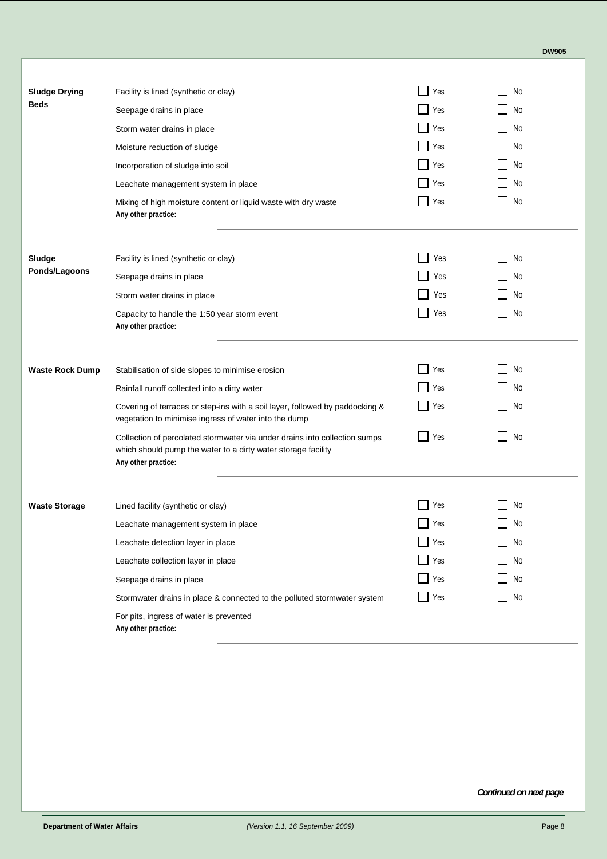| No<br><b>Sludge Drying</b><br>Facility is lined (synthetic or clay)<br>Yes<br><b>Beds</b><br>Yes<br>No<br>Seepage drains in place<br>No<br>Yes<br>Storm water drains in place<br>Yes<br>No<br>Moisture reduction of sludge<br>No<br>Yes<br>Incorporation of sludge into soil<br>Yes<br>No<br>Leachate management system in place<br>No<br>Yes<br>Mixing of high moisture content or liquid waste with dry waste<br>Any other practice:<br>Yes<br>No<br>Sludge<br>Facility is lined (synthetic or clay)<br>Ponds/Lagoons<br>Yes<br>No<br>Seepage drains in place<br>Yes<br>No<br>Storm water drains in place<br>No<br>Yes<br>Capacity to handle the 1:50 year storm event<br>Any other practice:<br>No<br>Yes<br><b>Waste Rock Dump</b><br>Stabilisation of side slopes to minimise erosion<br>No<br>Rainfall runoff collected into a dirty water<br>Yes<br>No<br>Covering of terraces or step-ins with a soil layer, followed by paddocking &<br>Yes<br>vegetation to minimise ingress of water into the dump<br>No<br>Collection of percolated stormwater via under drains into collection sumps<br>Yes<br>which should pump the water to a dirty water storage facility<br>Any other practice:<br>No<br>Yes<br><b>Waste Storage</b><br>Lined facility (synthetic or clay)<br>No<br>Yes<br>Leachate management system in place<br>No<br>Yes<br>Leachate detection layer in place<br>Yes<br>No<br>Leachate collection layer in place<br>Yes<br>No<br>Seepage drains in place<br>No<br>Yes<br>Stormwater drains in place & connected to the polluted stormwater system<br>For pits, ingress of water is prevented<br>Any other practice: |  |  |
|-----------------------------------------------------------------------------------------------------------------------------------------------------------------------------------------------------------------------------------------------------------------------------------------------------------------------------------------------------------------------------------------------------------------------------------------------------------------------------------------------------------------------------------------------------------------------------------------------------------------------------------------------------------------------------------------------------------------------------------------------------------------------------------------------------------------------------------------------------------------------------------------------------------------------------------------------------------------------------------------------------------------------------------------------------------------------------------------------------------------------------------------------------------------------------------------------------------------------------------------------------------------------------------------------------------------------------------------------------------------------------------------------------------------------------------------------------------------------------------------------------------------------------------------------------------------------------------------------------------------------------------------|--|--|
|                                                                                                                                                                                                                                                                                                                                                                                                                                                                                                                                                                                                                                                                                                                                                                                                                                                                                                                                                                                                                                                                                                                                                                                                                                                                                                                                                                                                                                                                                                                                                                                                                                         |  |  |
|                                                                                                                                                                                                                                                                                                                                                                                                                                                                                                                                                                                                                                                                                                                                                                                                                                                                                                                                                                                                                                                                                                                                                                                                                                                                                                                                                                                                                                                                                                                                                                                                                                         |  |  |
|                                                                                                                                                                                                                                                                                                                                                                                                                                                                                                                                                                                                                                                                                                                                                                                                                                                                                                                                                                                                                                                                                                                                                                                                                                                                                                                                                                                                                                                                                                                                                                                                                                         |  |  |
|                                                                                                                                                                                                                                                                                                                                                                                                                                                                                                                                                                                                                                                                                                                                                                                                                                                                                                                                                                                                                                                                                                                                                                                                                                                                                                                                                                                                                                                                                                                                                                                                                                         |  |  |
|                                                                                                                                                                                                                                                                                                                                                                                                                                                                                                                                                                                                                                                                                                                                                                                                                                                                                                                                                                                                                                                                                                                                                                                                                                                                                                                                                                                                                                                                                                                                                                                                                                         |  |  |
|                                                                                                                                                                                                                                                                                                                                                                                                                                                                                                                                                                                                                                                                                                                                                                                                                                                                                                                                                                                                                                                                                                                                                                                                                                                                                                                                                                                                                                                                                                                                                                                                                                         |  |  |
|                                                                                                                                                                                                                                                                                                                                                                                                                                                                                                                                                                                                                                                                                                                                                                                                                                                                                                                                                                                                                                                                                                                                                                                                                                                                                                                                                                                                                                                                                                                                                                                                                                         |  |  |
|                                                                                                                                                                                                                                                                                                                                                                                                                                                                                                                                                                                                                                                                                                                                                                                                                                                                                                                                                                                                                                                                                                                                                                                                                                                                                                                                                                                                                                                                                                                                                                                                                                         |  |  |
|                                                                                                                                                                                                                                                                                                                                                                                                                                                                                                                                                                                                                                                                                                                                                                                                                                                                                                                                                                                                                                                                                                                                                                                                                                                                                                                                                                                                                                                                                                                                                                                                                                         |  |  |
|                                                                                                                                                                                                                                                                                                                                                                                                                                                                                                                                                                                                                                                                                                                                                                                                                                                                                                                                                                                                                                                                                                                                                                                                                                                                                                                                                                                                                                                                                                                                                                                                                                         |  |  |
|                                                                                                                                                                                                                                                                                                                                                                                                                                                                                                                                                                                                                                                                                                                                                                                                                                                                                                                                                                                                                                                                                                                                                                                                                                                                                                                                                                                                                                                                                                                                                                                                                                         |  |  |
|                                                                                                                                                                                                                                                                                                                                                                                                                                                                                                                                                                                                                                                                                                                                                                                                                                                                                                                                                                                                                                                                                                                                                                                                                                                                                                                                                                                                                                                                                                                                                                                                                                         |  |  |
|                                                                                                                                                                                                                                                                                                                                                                                                                                                                                                                                                                                                                                                                                                                                                                                                                                                                                                                                                                                                                                                                                                                                                                                                                                                                                                                                                                                                                                                                                                                                                                                                                                         |  |  |
|                                                                                                                                                                                                                                                                                                                                                                                                                                                                                                                                                                                                                                                                                                                                                                                                                                                                                                                                                                                                                                                                                                                                                                                                                                                                                                                                                                                                                                                                                                                                                                                                                                         |  |  |
|                                                                                                                                                                                                                                                                                                                                                                                                                                                                                                                                                                                                                                                                                                                                                                                                                                                                                                                                                                                                                                                                                                                                                                                                                                                                                                                                                                                                                                                                                                                                                                                                                                         |  |  |
|                                                                                                                                                                                                                                                                                                                                                                                                                                                                                                                                                                                                                                                                                                                                                                                                                                                                                                                                                                                                                                                                                                                                                                                                                                                                                                                                                                                                                                                                                                                                                                                                                                         |  |  |
|                                                                                                                                                                                                                                                                                                                                                                                                                                                                                                                                                                                                                                                                                                                                                                                                                                                                                                                                                                                                                                                                                                                                                                                                                                                                                                                                                                                                                                                                                                                                                                                                                                         |  |  |
|                                                                                                                                                                                                                                                                                                                                                                                                                                                                                                                                                                                                                                                                                                                                                                                                                                                                                                                                                                                                                                                                                                                                                                                                                                                                                                                                                                                                                                                                                                                                                                                                                                         |  |  |
|                                                                                                                                                                                                                                                                                                                                                                                                                                                                                                                                                                                                                                                                                                                                                                                                                                                                                                                                                                                                                                                                                                                                                                                                                                                                                                                                                                                                                                                                                                                                                                                                                                         |  |  |
|                                                                                                                                                                                                                                                                                                                                                                                                                                                                                                                                                                                                                                                                                                                                                                                                                                                                                                                                                                                                                                                                                                                                                                                                                                                                                                                                                                                                                                                                                                                                                                                                                                         |  |  |
|                                                                                                                                                                                                                                                                                                                                                                                                                                                                                                                                                                                                                                                                                                                                                                                                                                                                                                                                                                                                                                                                                                                                                                                                                                                                                                                                                                                                                                                                                                                                                                                                                                         |  |  |
|                                                                                                                                                                                                                                                                                                                                                                                                                                                                                                                                                                                                                                                                                                                                                                                                                                                                                                                                                                                                                                                                                                                                                                                                                                                                                                                                                                                                                                                                                                                                                                                                                                         |  |  |
|                                                                                                                                                                                                                                                                                                                                                                                                                                                                                                                                                                                                                                                                                                                                                                                                                                                                                                                                                                                                                                                                                                                                                                                                                                                                                                                                                                                                                                                                                                                                                                                                                                         |  |  |

*Continued on next page*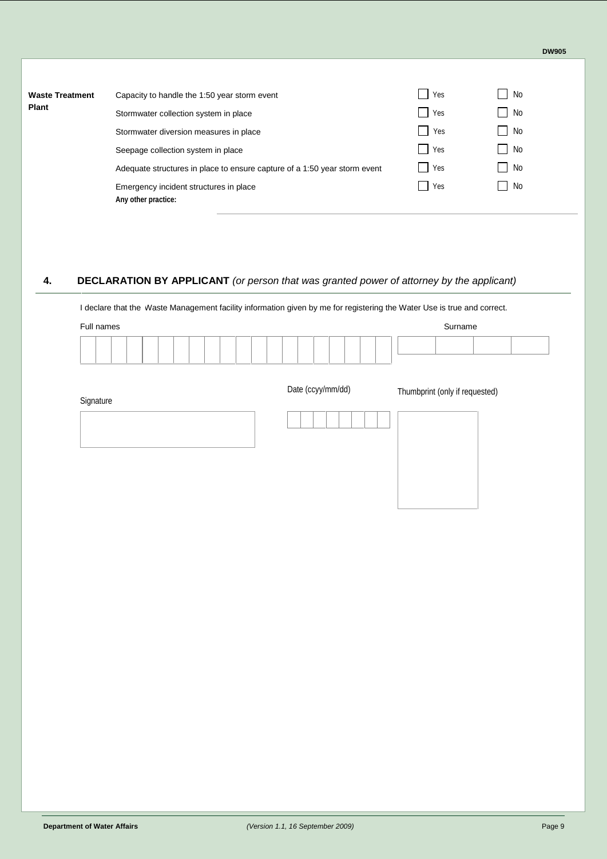| <b>Waste Treatment</b> | Capacity to handle the 1:50 year storm event                              | Yes | No           |
|------------------------|---------------------------------------------------------------------------|-----|--------------|
| <b>Plant</b>           | Stormwater collection system in place                                     | Yes | No           |
|                        | Stormwater diversion measures in place                                    | Yes | No<br>$\sim$ |
|                        | Seepage collection system in place                                        | Yes | No<br>$\sim$ |
|                        | Adequate structures in place to ensure capture of a 1:50 year storm event | Yes | No<br>×.     |
|                        | Emergency incident structures in place<br>Any other practice:             | Yes | No           |

## **4. DECLARATION BY APPLICANT** *(or person that was granted power of attorney by the applicant)*

I declare that the Waste Management facility information given by me for registering the Water Use is true and correct.

|                   | Surname                        |
|-------------------|--------------------------------|
|                   |                                |
| Date (ccyy/mm/dd) | Thumbprint (only if requested) |
|                   |                                |
|                   |                                |
|                   |                                |
|                   |                                |